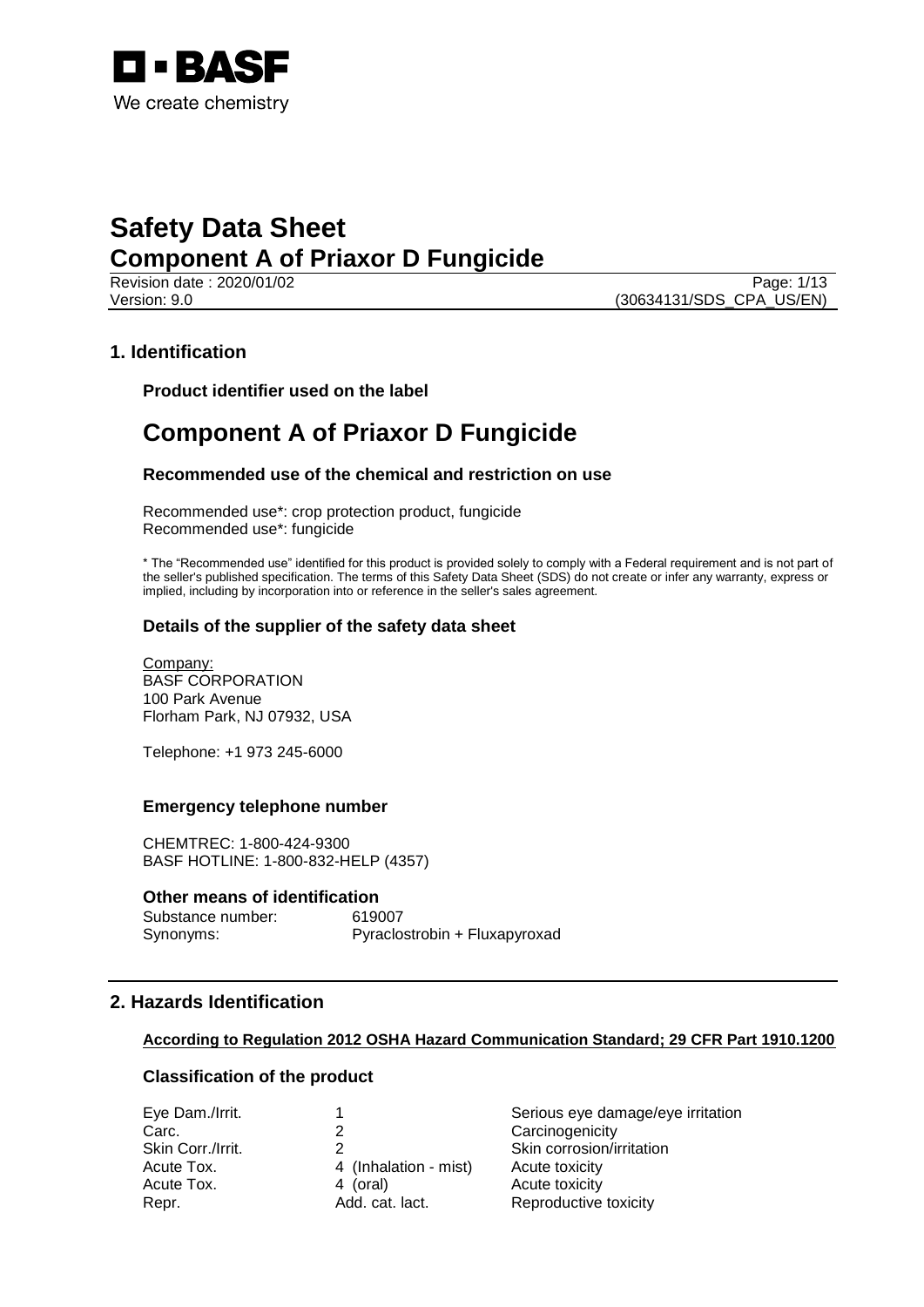

Revision date : 2020/01/02 Page: 1/13 Version: 9.0 (30634131/SDS\_CPA\_US/EN)

## **1. Identification**

**Product identifier used on the label**

## **Component A of Priaxor D Fungicide**

#### **Recommended use of the chemical and restriction on use**

Recommended use\*: crop protection product, fungicide Recommended use\*: fungicide

\* The "Recommended use" identified for this product is provided solely to comply with a Federal requirement and is not part of the seller's published specification. The terms of this Safety Data Sheet (SDS) do not create or infer any warranty, express or implied, including by incorporation into or reference in the seller's sales agreement.

## **Details of the supplier of the safety data sheet**

Company: BASF CORPORATION 100 Park Avenue Florham Park, NJ 07932, USA

Telephone: +1 973 245-6000

#### **Emergency telephone number**

CHEMTREC: 1-800-424-9300 BASF HOTLINE: 1-800-832-HELP (4357)

#### **Other means of identification**

Substance number: 619007 Synonyms: Pyraclostrobin + Fluxapyroxad

## **2. Hazards Identification**

#### **According to Regulation 2012 OSHA Hazard Communication Standard; 29 CFR Part 1910.1200**

## **Classification of the product**

| Eye Dam./Irrit.   |                       | Serious eye damage/eye irritation |
|-------------------|-----------------------|-----------------------------------|
| Carc.             |                       | Carcinogenicity                   |
| Skin Corr./Irrit. |                       | Skin corrosion/irritation         |
| Acute Tox.        | 4 (Inhalation - mist) | Acute toxicity                    |
| Acute Tox.        | 4 (oral)              | Acute toxicity                    |
| Repr.             | Add. cat. lact.       | Reproductive toxicity             |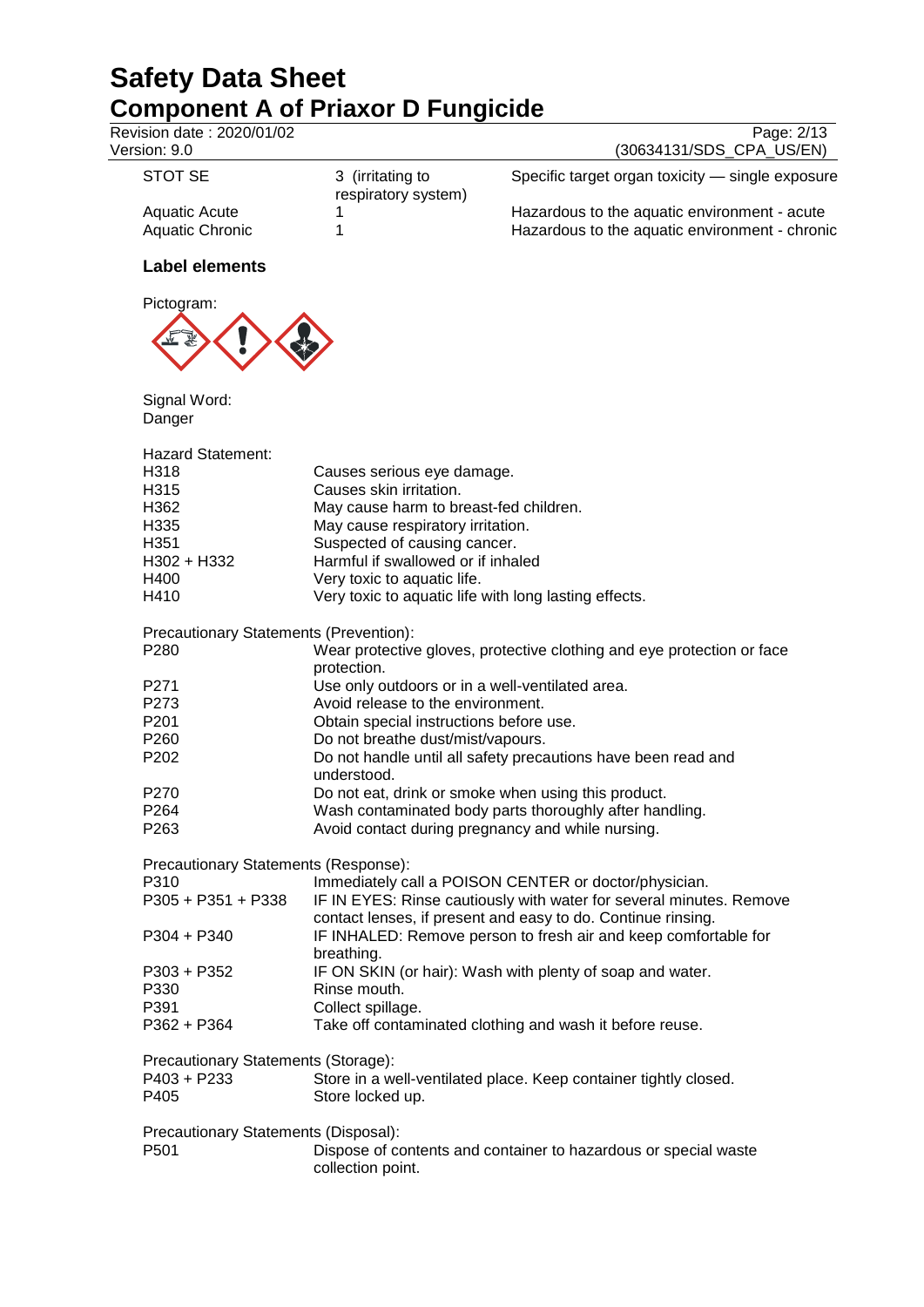| Revision date : 2020/01/02<br>Version: 9.0 |                                                       | Page: 2/13<br>(30634131/SDS_CPA_US/EN)                                 |
|--------------------------------------------|-------------------------------------------------------|------------------------------------------------------------------------|
|                                            |                                                       |                                                                        |
| <b>STOT SE</b>                             | 3 (irritating to<br>respiratory system)               | Specific target organ toxicity - single exposure                       |
| <b>Aquatic Acute</b>                       | 1                                                     | Hazardous to the aquatic environment - acute                           |
| <b>Aquatic Chronic</b>                     | 1                                                     | Hazardous to the aquatic environment - chronic                         |
| <b>Label elements</b>                      |                                                       |                                                                        |
| Pictogram:                                 |                                                       |                                                                        |
|                                            |                                                       |                                                                        |
| Signal Word:                               |                                                       |                                                                        |
| Danger                                     |                                                       |                                                                        |
| <b>Hazard Statement:</b>                   |                                                       |                                                                        |
| H318                                       | Causes serious eye damage.                            |                                                                        |
| H315                                       | Causes skin irritation.                               |                                                                        |
| H362                                       | May cause harm to breast-fed children.                |                                                                        |
| H335                                       | May cause respiratory irritation.                     |                                                                        |
| H351                                       | Suspected of causing cancer.                          |                                                                        |
| H302 + H332                                | Harmful if swallowed or if inhaled                    |                                                                        |
| H400                                       | Very toxic to aquatic life.                           |                                                                        |
| H410                                       | Very toxic to aquatic life with long lasting effects. |                                                                        |
| Precautionary Statements (Prevention):     |                                                       |                                                                        |
| P280                                       |                                                       | Wear protective gloves, protective clothing and eye protection or face |
|                                            | protection.                                           |                                                                        |
| P271                                       | Use only outdoors or in a well-ventilated area.       |                                                                        |
| P273                                       | Avoid release to the environment.                     |                                                                        |
| P201                                       | Obtain special instructions before use.               |                                                                        |
| P260                                       | Do not breathe dust/mist/vapours.                     |                                                                        |
| P <sub>202</sub>                           |                                                       | Do not handle until all safety precautions have been read and          |
|                                            | understood.                                           |                                                                        |
| P270                                       |                                                       | Do not eat, drink or smoke when using this product.                    |
| P <sub>264</sub>                           |                                                       | Wash contaminated body parts thoroughly after handling.                |
| P263                                       | Avoid contact during pregnancy and while nursing.     |                                                                        |
| Precautionary Statements (Response):       |                                                       |                                                                        |
| P310                                       |                                                       | Immediately call a POISON CENTER or doctor/physician.                  |
| P305 + P351 + P338                         |                                                       | IF IN EYES: Rinse cautiously with water for several minutes. Remove    |
|                                            |                                                       | contact lenses, if present and easy to do. Continue rinsing.           |
| P304 + P340                                |                                                       | IF INHALED: Remove person to fresh air and keep comfortable for        |
|                                            | breathing.                                            |                                                                        |
| P303 + P352                                |                                                       |                                                                        |
|                                            | Rinse mouth.                                          | IF ON SKIN (or hair): Wash with plenty of soap and water.              |
| P330<br>P391                               |                                                       |                                                                        |
|                                            | Collect spillage.                                     |                                                                        |
| P362 + P364                                |                                                       | Take off contaminated clothing and wash it before reuse.               |
| Precautionary Statements (Storage):        |                                                       |                                                                        |
| P403 + P233                                |                                                       | Store in a well-ventilated place. Keep container tightly closed.       |
| P405                                       | Store locked up.                                      |                                                                        |

Precautionary Statements (Disposal): Dispose of contents and container to hazardous or special waste collection point.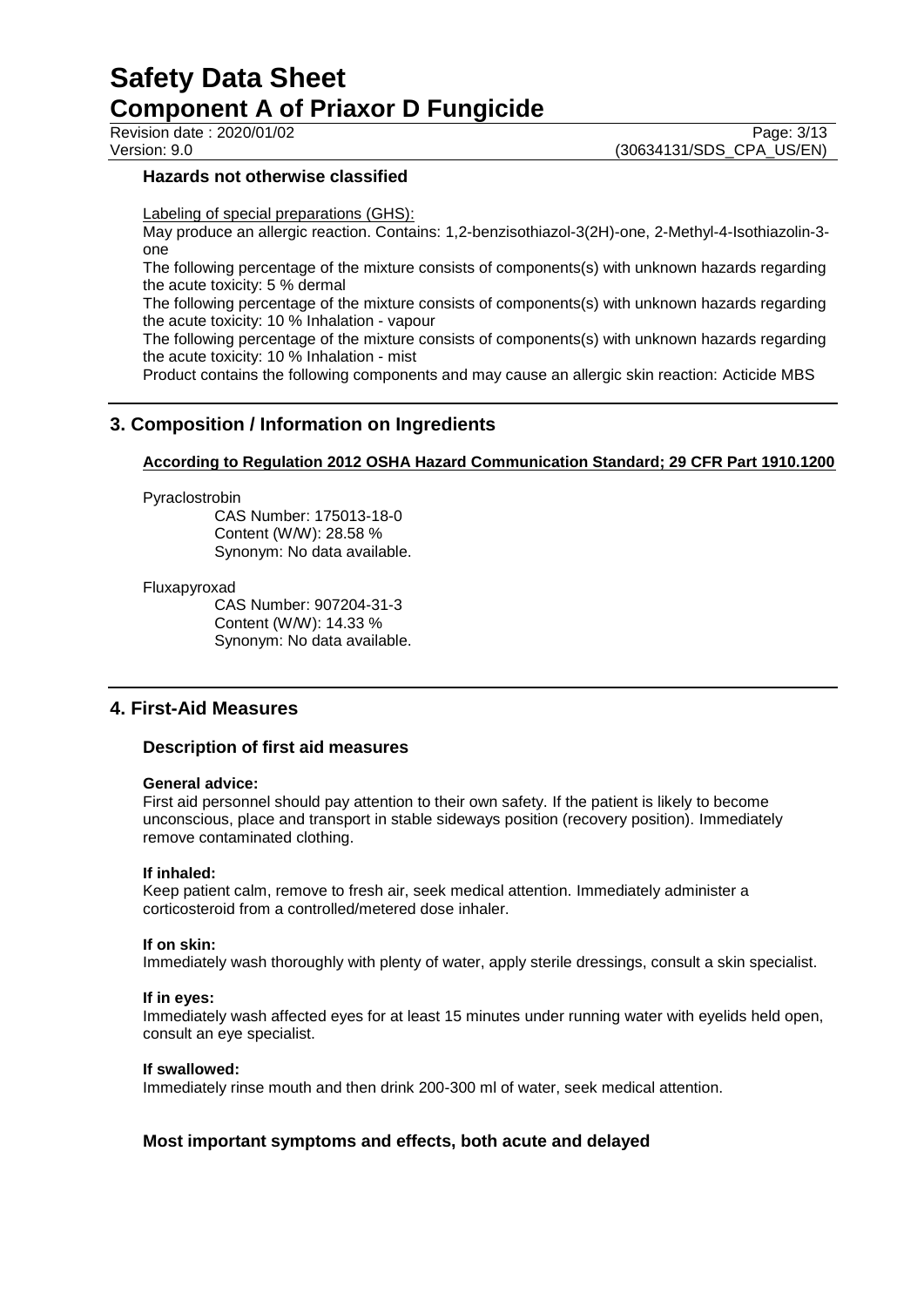Revision date : 2020/01/02 Page: 3/13<br>Version: 9.0 (30634131/SDS\_CPA\_US/EN) (30634131/SDS\_CPA\_US/EN)

#### **Hazards not otherwise classified**

Labeling of special preparations (GHS):

May produce an allergic reaction. Contains: 1,2-benzisothiazol-3(2H)-one, 2-Methyl-4-Isothiazolin-3 one

The following percentage of the mixture consists of components(s) with unknown hazards regarding the acute toxicity: 5 % dermal

The following percentage of the mixture consists of components(s) with unknown hazards regarding the acute toxicity: 10 % Inhalation - vapour

The following percentage of the mixture consists of components(s) with unknown hazards regarding the acute toxicity: 10 % Inhalation - mist

Product contains the following components and may cause an allergic skin reaction: Acticide MBS

## **3. Composition / Information on Ingredients**

#### **According to Regulation 2012 OSHA Hazard Communication Standard; 29 CFR Part 1910.1200**

#### Pyraclostrobin

CAS Number: 175013-18-0 Content (W/W): 28.58 % Synonym: No data available.

#### Fluxapyroxad

CAS Number: 907204-31-3 Content (W/W): 14.33 % Synonym: No data available.

## **4. First-Aid Measures**

#### **Description of first aid measures**

#### **General advice:**

First aid personnel should pay attention to their own safety. If the patient is likely to become unconscious, place and transport in stable sideways position (recovery position). Immediately remove contaminated clothing.

#### **If inhaled:**

Keep patient calm, remove to fresh air, seek medical attention. Immediately administer a corticosteroid from a controlled/metered dose inhaler.

#### **If on skin:**

Immediately wash thoroughly with plenty of water, apply sterile dressings, consult a skin specialist.

#### **If in eyes:**

Immediately wash affected eyes for at least 15 minutes under running water with eyelids held open, consult an eye specialist.

#### **If swallowed:**

Immediately rinse mouth and then drink 200-300 ml of water, seek medical attention.

## **Most important symptoms and effects, both acute and delayed**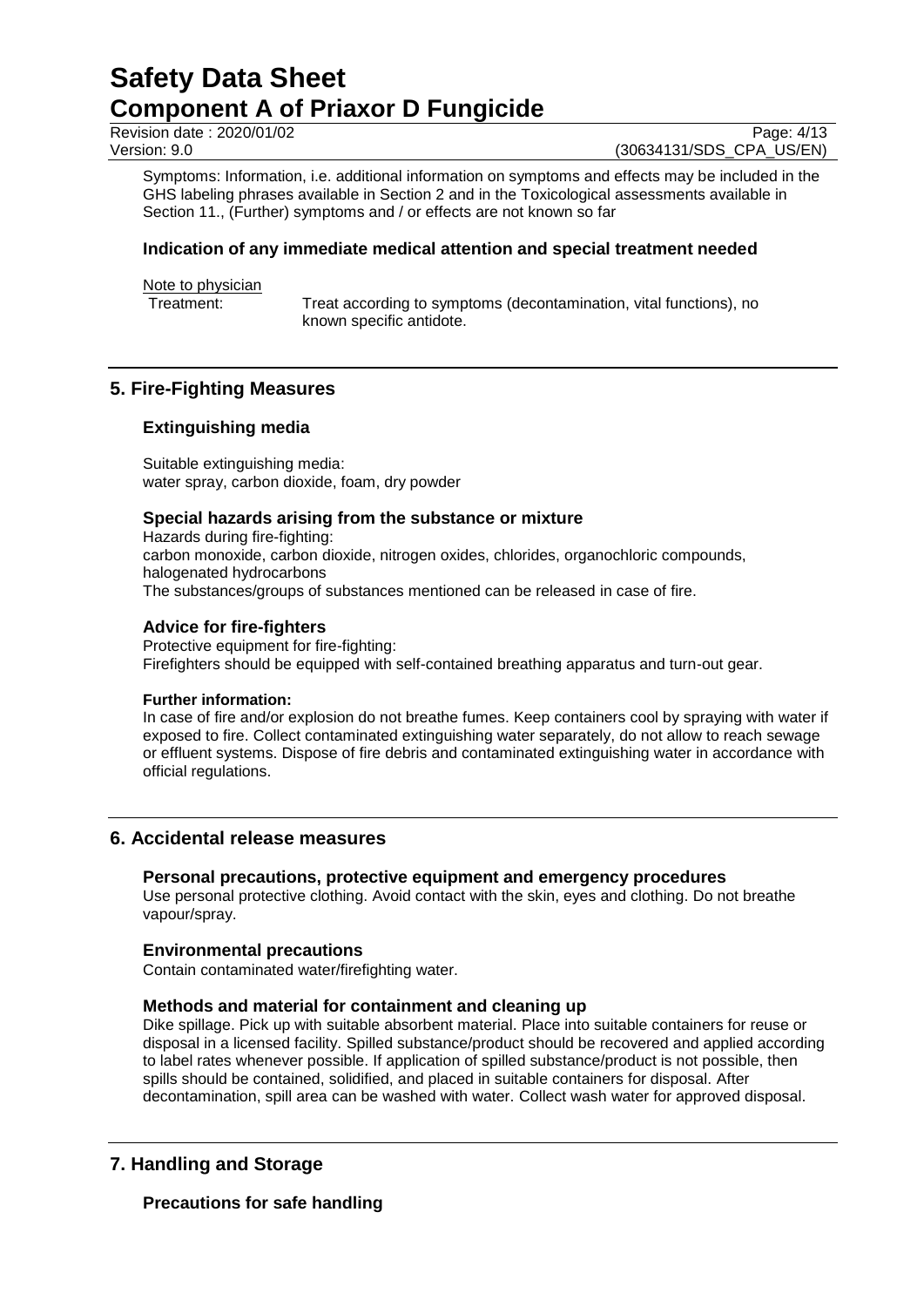Revision date : 2020/01/02 Page: 4/13<br>Version: 9.0 Page: 4/13

(30634131/SDS\_CPA\_US/EN)

Symptoms: Information, i.e. additional information on symptoms and effects may be included in the GHS labeling phrases available in Section 2 and in the Toxicological assessments available in Section 11., (Further) symptoms and / or effects are not known so far

## **Indication of any immediate medical attention and special treatment needed**

Note to physician<br>Treatment:

Treat according to symptoms (decontamination, vital functions), no known specific antidote.

## **5. Fire-Fighting Measures**

## **Extinguishing media**

Suitable extinguishing media: water spray, carbon dioxide, foam, dry powder

#### **Special hazards arising from the substance or mixture**

Hazards during fire-fighting: carbon monoxide, carbon dioxide, nitrogen oxides, chlorides, organochloric compounds, halogenated hydrocarbons The substances/groups of substances mentioned can be released in case of fire.

#### **Advice for fire-fighters**

Protective equipment for fire-fighting: Firefighters should be equipped with self-contained breathing apparatus and turn-out gear.

#### **Further information:**

In case of fire and/or explosion do not breathe fumes. Keep containers cool by spraying with water if exposed to fire. Collect contaminated extinguishing water separately, do not allow to reach sewage or effluent systems. Dispose of fire debris and contaminated extinguishing water in accordance with official regulations.

## **6. Accidental release measures**

## **Personal precautions, protective equipment and emergency procedures**

Use personal protective clothing. Avoid contact with the skin, eyes and clothing. Do not breathe vapour/spray.

#### **Environmental precautions**

Contain contaminated water/firefighting water.

#### **Methods and material for containment and cleaning up**

Dike spillage. Pick up with suitable absorbent material. Place into suitable containers for reuse or disposal in a licensed facility. Spilled substance/product should be recovered and applied according to label rates whenever possible. If application of spilled substance/product is not possible, then spills should be contained, solidified, and placed in suitable containers for disposal. After decontamination, spill area can be washed with water. Collect wash water for approved disposal.

## **7. Handling and Storage**

## **Precautions for safe handling**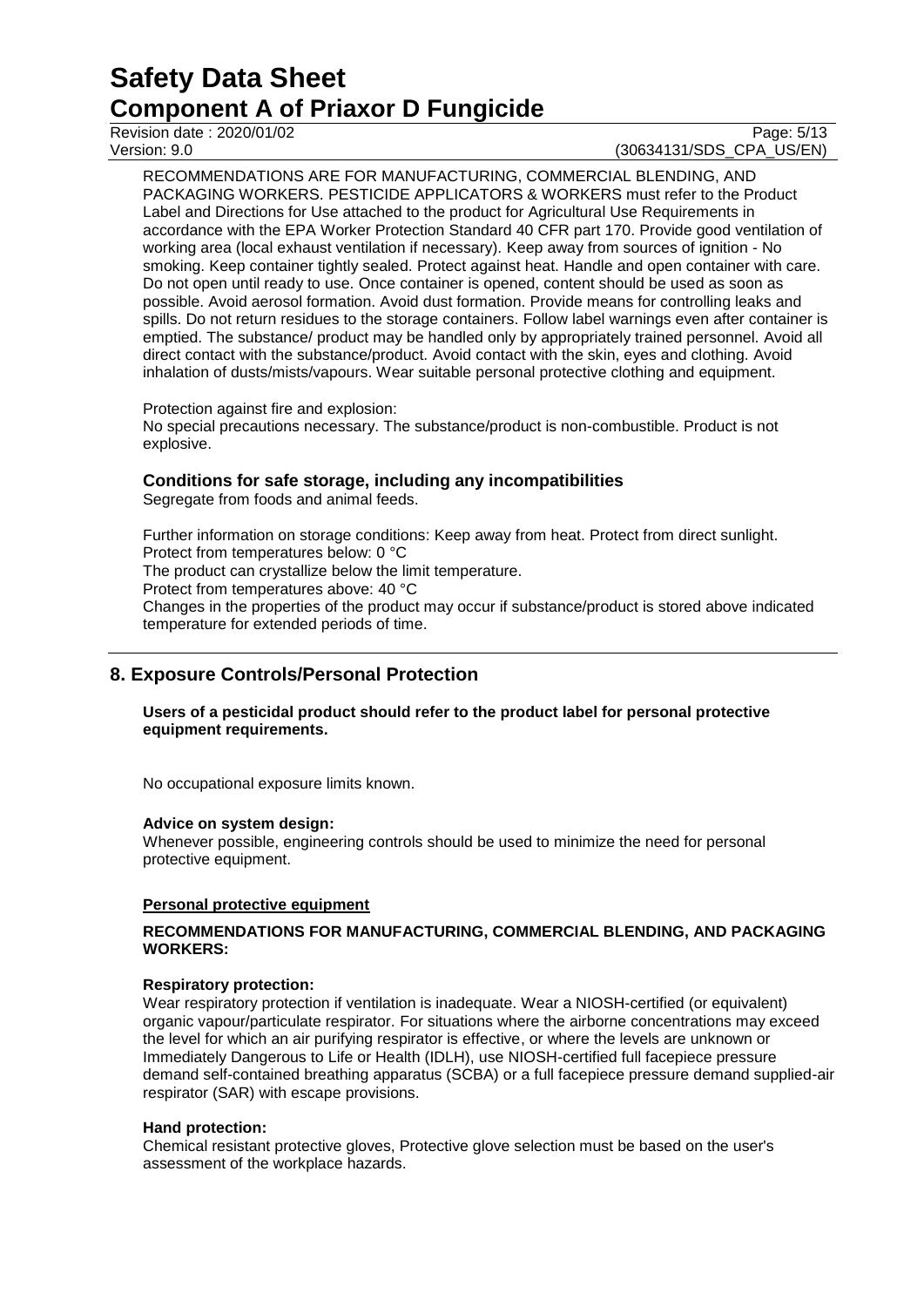Revision date : 2020/01/02 Page: 5/13<br>Version: 9.0 Page: 5/13

## (30634131/SDS\_CPA\_US/EN)

RECOMMENDATIONS ARE FOR MANUFACTURING, COMMERCIAL BLENDING, AND PACKAGING WORKERS. PESTICIDE APPLICATORS & WORKERS must refer to the Product Label and Directions for Use attached to the product for Agricultural Use Requirements in accordance with the EPA Worker Protection Standard 40 CFR part 170. Provide good ventilation of working area (local exhaust ventilation if necessary). Keep away from sources of ignition - No smoking. Keep container tightly sealed. Protect against heat. Handle and open container with care. Do not open until ready to use. Once container is opened, content should be used as soon as possible. Avoid aerosol formation. Avoid dust formation. Provide means for controlling leaks and spills. Do not return residues to the storage containers. Follow label warnings even after container is emptied. The substance/ product may be handled only by appropriately trained personnel. Avoid all direct contact with the substance/product. Avoid contact with the skin, eyes and clothing. Avoid inhalation of dusts/mists/vapours. Wear suitable personal protective clothing and equipment.

Protection against fire and explosion:

No special precautions necessary. The substance/product is non-combustible. Product is not explosive.

## **Conditions for safe storage, including any incompatibilities**

Segregate from foods and animal feeds.

Further information on storage conditions: Keep away from heat. Protect from direct sunlight. Protect from temperatures below: 0 °C The product can crystallize below the limit temperature. Protect from temperatures above: 40 °C Changes in the properties of the product may occur if substance/product is stored above indicated temperature for extended periods of time.

## **8. Exposure Controls/Personal Protection**

#### **Users of a pesticidal product should refer to the product label for personal protective equipment requirements.**

No occupational exposure limits known.

#### **Advice on system design:**

Whenever possible, engineering controls should be used to minimize the need for personal protective equipment.

## **Personal protective equipment**

#### **RECOMMENDATIONS FOR MANUFACTURING, COMMERCIAL BLENDING, AND PACKAGING WORKERS:**

#### **Respiratory protection:**

Wear respiratory protection if ventilation is inadequate. Wear a NIOSH-certified (or equivalent) organic vapour/particulate respirator. For situations where the airborne concentrations may exceed the level for which an air purifying respirator is effective, or where the levels are unknown or Immediately Dangerous to Life or Health (IDLH), use NIOSH-certified full facepiece pressure demand self-contained breathing apparatus (SCBA) or a full facepiece pressure demand supplied-air respirator (SAR) with escape provisions.

#### **Hand protection:**

Chemical resistant protective gloves, Protective glove selection must be based on the user's assessment of the workplace hazards.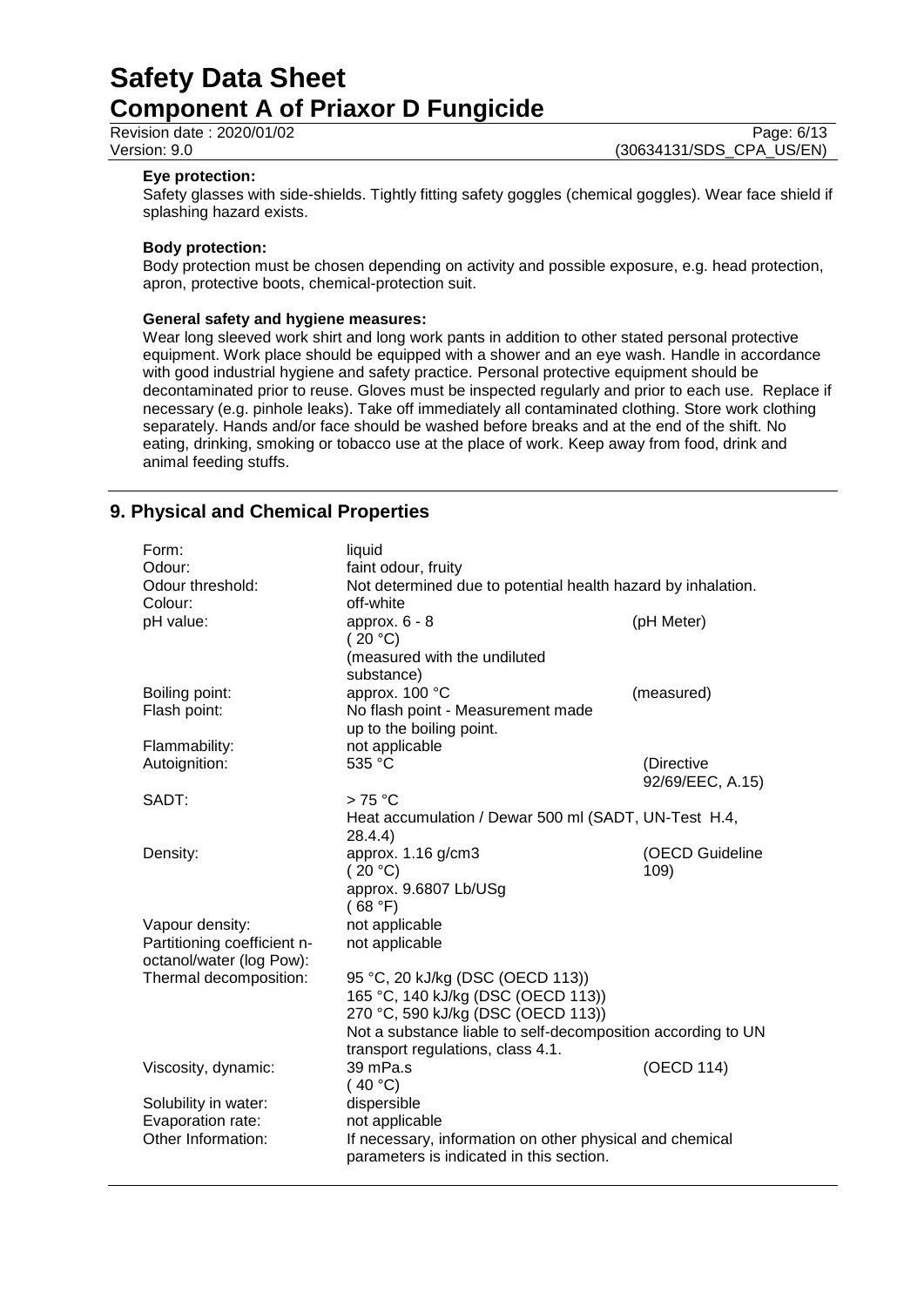Revision date : 2020/01/02 Page: 6/13<br>Version: 9.0 Page: 6/13

(30634131/SDS\_CPA\_US/EN)

#### **Eye protection:**

Safety glasses with side-shields. Tightly fitting safety goggles (chemical goggles). Wear face shield if splashing hazard exists.

#### **Body protection:**

Body protection must be chosen depending on activity and possible exposure, e.g. head protection, apron, protective boots, chemical-protection suit.

#### **General safety and hygiene measures:**

Wear long sleeved work shirt and long work pants in addition to other stated personal protective equipment. Work place should be equipped with a shower and an eye wash. Handle in accordance with good industrial hygiene and safety practice. Personal protective equipment should be decontaminated prior to reuse. Gloves must be inspected regularly and prior to each use. Replace if necessary (e.g. pinhole leaks). Take off immediately all contaminated clothing. Store work clothing separately. Hands and/or face should be washed before breaks and at the end of the shift. No eating, drinking, smoking or tobacco use at the place of work. Keep away from food, drink and animal feeding stuffs.

## **9. Physical and Chemical Properties**

| liquid<br>faint odour, fruity                                                   |                                                                                                                                                                                                                                                                                                                                                                                                                                                                                                 |  |
|---------------------------------------------------------------------------------|-------------------------------------------------------------------------------------------------------------------------------------------------------------------------------------------------------------------------------------------------------------------------------------------------------------------------------------------------------------------------------------------------------------------------------------------------------------------------------------------------|--|
| approx. $6 - 8$<br>(20 °C)<br>(measured with the undiluted<br>substance)        | (pH Meter)                                                                                                                                                                                                                                                                                                                                                                                                                                                                                      |  |
| approx. 100 °C<br>No flash point - Measurement made<br>up to the boiling point. | (measured)                                                                                                                                                                                                                                                                                                                                                                                                                                                                                      |  |
| not applicable                                                                  |                                                                                                                                                                                                                                                                                                                                                                                                                                                                                                 |  |
| 535 °C                                                                          | (Directive<br>92/69/EEC, A.15)                                                                                                                                                                                                                                                                                                                                                                                                                                                                  |  |
|                                                                                 |                                                                                                                                                                                                                                                                                                                                                                                                                                                                                                 |  |
|                                                                                 |                                                                                                                                                                                                                                                                                                                                                                                                                                                                                                 |  |
|                                                                                 | (OECD Guideline                                                                                                                                                                                                                                                                                                                                                                                                                                                                                 |  |
|                                                                                 | 109)                                                                                                                                                                                                                                                                                                                                                                                                                                                                                            |  |
|                                                                                 |                                                                                                                                                                                                                                                                                                                                                                                                                                                                                                 |  |
|                                                                                 |                                                                                                                                                                                                                                                                                                                                                                                                                                                                                                 |  |
|                                                                                 |                                                                                                                                                                                                                                                                                                                                                                                                                                                                                                 |  |
| not applicable                                                                  |                                                                                                                                                                                                                                                                                                                                                                                                                                                                                                 |  |
|                                                                                 |                                                                                                                                                                                                                                                                                                                                                                                                                                                                                                 |  |
| 95 °C, 20 kJ/kg (DSC (OECD 113))                                                |                                                                                                                                                                                                                                                                                                                                                                                                                                                                                                 |  |
|                                                                                 |                                                                                                                                                                                                                                                                                                                                                                                                                                                                                                 |  |
|                                                                                 |                                                                                                                                                                                                                                                                                                                                                                                                                                                                                                 |  |
|                                                                                 |                                                                                                                                                                                                                                                                                                                                                                                                                                                                                                 |  |
|                                                                                 | (OECD 114)                                                                                                                                                                                                                                                                                                                                                                                                                                                                                      |  |
|                                                                                 |                                                                                                                                                                                                                                                                                                                                                                                                                                                                                                 |  |
|                                                                                 |                                                                                                                                                                                                                                                                                                                                                                                                                                                                                                 |  |
|                                                                                 |                                                                                                                                                                                                                                                                                                                                                                                                                                                                                                 |  |
| parameters is indicated in this section.                                        | If necessary, information on other physical and chemical                                                                                                                                                                                                                                                                                                                                                                                                                                        |  |
|                                                                                 | Not determined due to potential health hazard by inhalation.<br>off-white<br>$>75^{\circ}$ C<br>Heat accumulation / Dewar 500 ml (SADT, UN-Test H.4,<br>28.4.4)<br>approx. 1.16 g/cm3<br>(20 °C)<br>approx. 9.6807 Lb/USg<br>(68 °F)<br>not applicable<br>165 °C, 140 kJ/kg (DSC (OECD 113))<br>270 °C, 590 kJ/kg (DSC (OECD 113))<br>Not a substance liable to self-decomposition according to UN<br>transport regulations, class 4.1.<br>39 mPa.s<br>(40 °C)<br>dispersible<br>not applicable |  |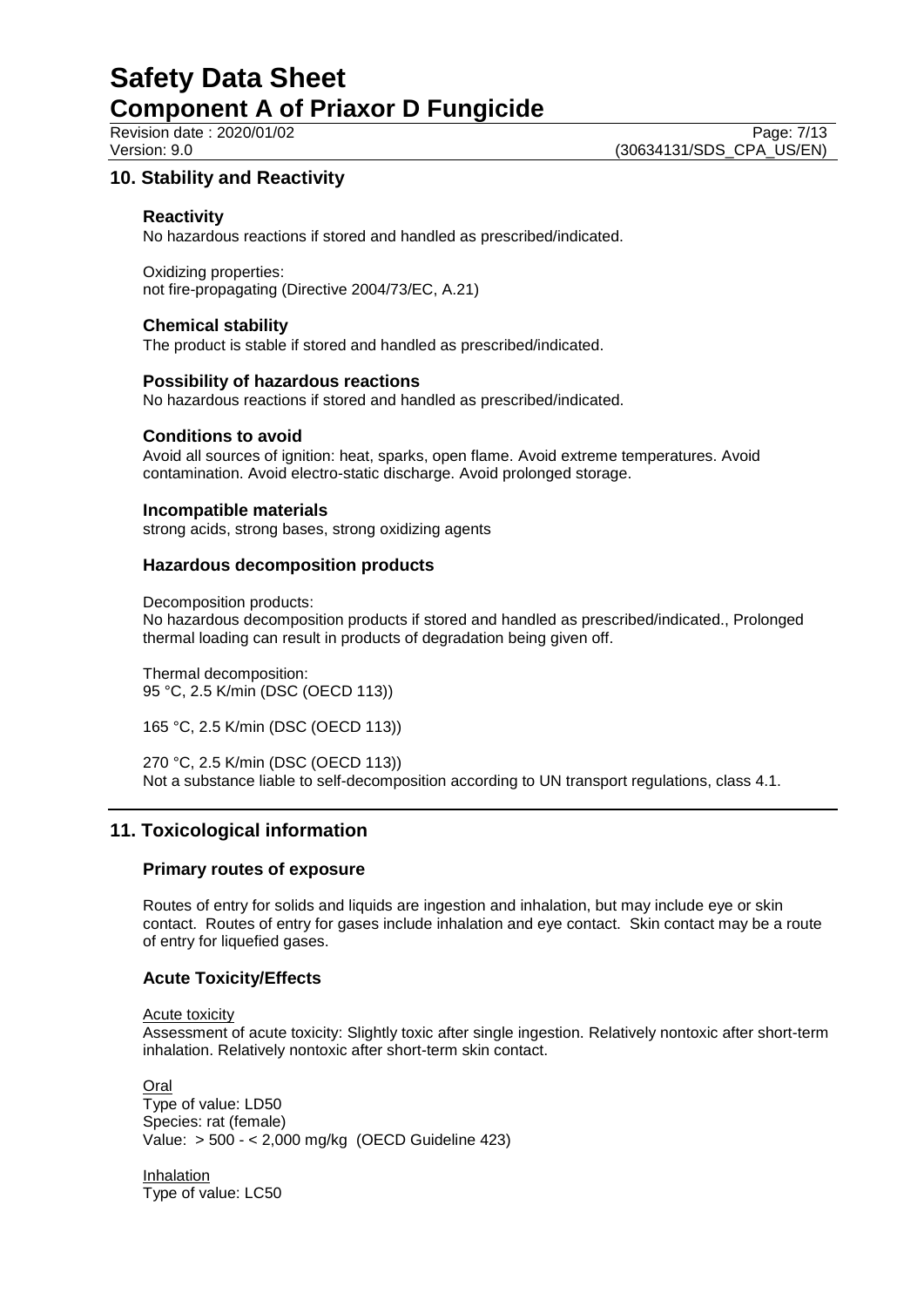## **10. Stability and Reactivity**

## **Reactivity**

No hazardous reactions if stored and handled as prescribed/indicated.

Oxidizing properties: not fire-propagating (Directive 2004/73/EC, A.21)

#### **Chemical stability**

The product is stable if stored and handled as prescribed/indicated.

#### **Possibility of hazardous reactions**

No hazardous reactions if stored and handled as prescribed/indicated.

#### **Conditions to avoid**

Avoid all sources of ignition: heat, sparks, open flame. Avoid extreme temperatures. Avoid contamination. Avoid electro-static discharge. Avoid prolonged storage.

#### **Incompatible materials**

strong acids, strong bases, strong oxidizing agents

## **Hazardous decomposition products**

Decomposition products:

No hazardous decomposition products if stored and handled as prescribed/indicated., Prolonged thermal loading can result in products of degradation being given off.

Thermal decomposition: 95 °C, 2.5 K/min (DSC (OECD 113))

165 °C, 2.5 K/min (DSC (OECD 113))

270 °C, 2.5 K/min (DSC (OECD 113)) Not a substance liable to self-decomposition according to UN transport regulations, class 4.1.

## **11. Toxicological information**

## **Primary routes of exposure**

Routes of entry for solids and liquids are ingestion and inhalation, but may include eye or skin contact. Routes of entry for gases include inhalation and eye contact. Skin contact may be a route of entry for liquefied gases.

## **Acute Toxicity/Effects**

Acute toxicity

Assessment of acute toxicity: Slightly toxic after single ingestion. Relatively nontoxic after short-term inhalation. Relatively nontoxic after short-term skin contact.

**Oral** Type of value: LD50 Species: rat (female) Value: > 500 - < 2,000 mg/kg (OECD Guideline 423)

Inhalation Type of value: LC50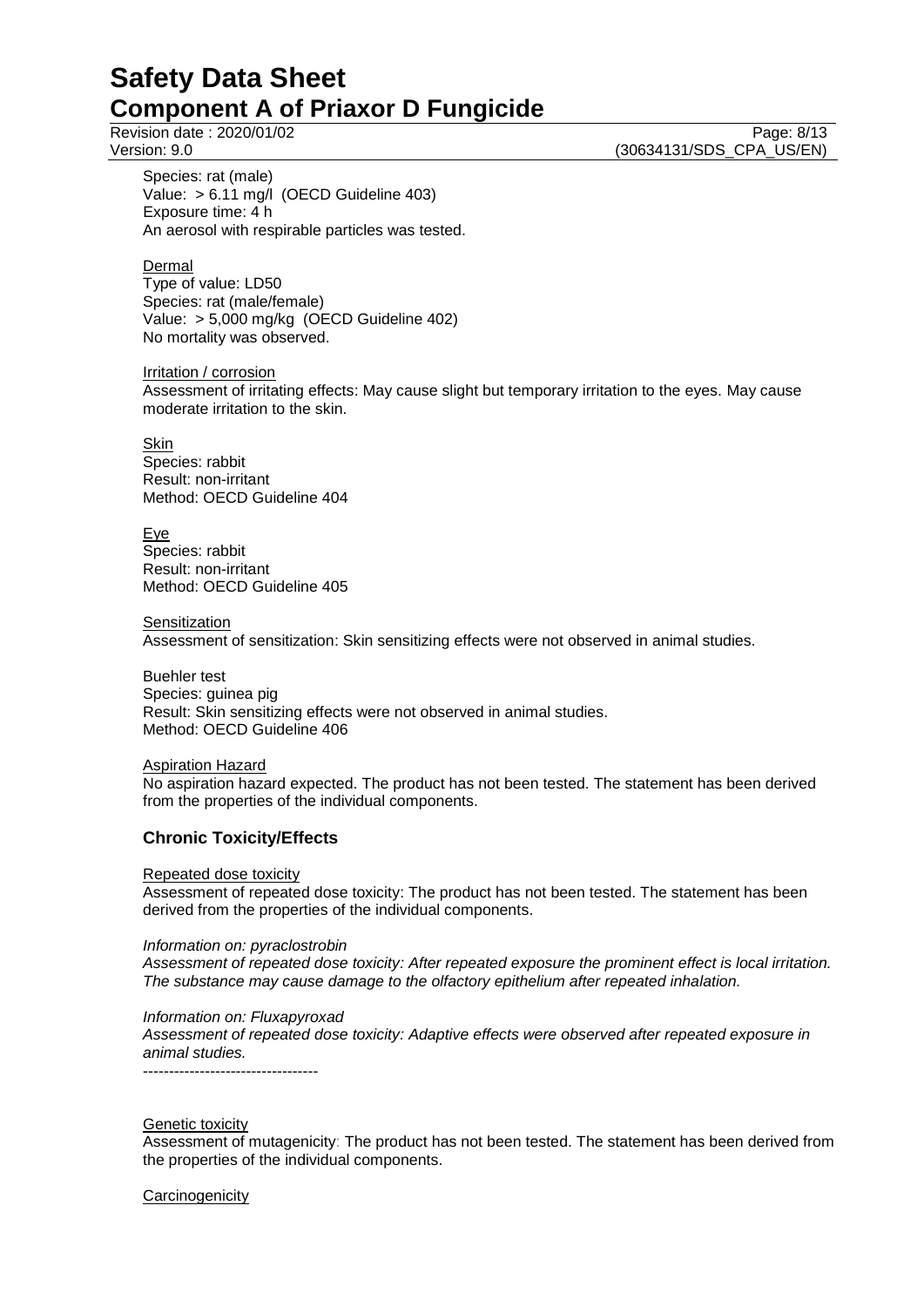Revision date : 2020/01/02 Page: 8/13<br>
Version: 9.0 Page: 8/13 (30634131/SDS\_CPA\_US/EN)

Species: rat (male) Value: > 6.11 mg/l (OECD Guideline 403) Exposure time: 4 h An aerosol with respirable particles was tested.

Dermal

Type of value: LD50 Species: rat (male/female) Value: > 5,000 mg/kg (OECD Guideline 402) No mortality was observed.

Irritation / corrosion Assessment of irritating effects: May cause slight but temporary irritation to the eyes. May cause moderate irritation to the skin.

Skin Species: rabbit Result: non-irritant Method: OECD Guideline 404

Eye Species: rabbit Result: non-irritant Method: OECD Guideline 405

**Sensitization** 

Assessment of sensitization: Skin sensitizing effects were not observed in animal studies.

Buehler test Species: guinea pig Result: Skin sensitizing effects were not observed in animal studies. Method: OECD Guideline 406

Aspiration Hazard

No aspiration hazard expected. The product has not been tested. The statement has been derived from the properties of the individual components.

## **Chronic Toxicity/Effects**

#### Repeated dose toxicity

Assessment of repeated dose toxicity: The product has not been tested. The statement has been derived from the properties of the individual components.

#### *Information on: pyraclostrobin*

*Assessment of repeated dose toxicity: After repeated exposure the prominent effect is local irritation. The substance may cause damage to the olfactory epithelium after repeated inhalation.*

#### *Information on: Fluxapyroxad*

*Assessment of repeated dose toxicity: Adaptive effects were observed after repeated exposure in animal studies.*

----------------------------------

#### **Genetic toxicity**

Assessment of mutagenicity: The product has not been tested. The statement has been derived from the properties of the individual components.

### **Carcinogenicity**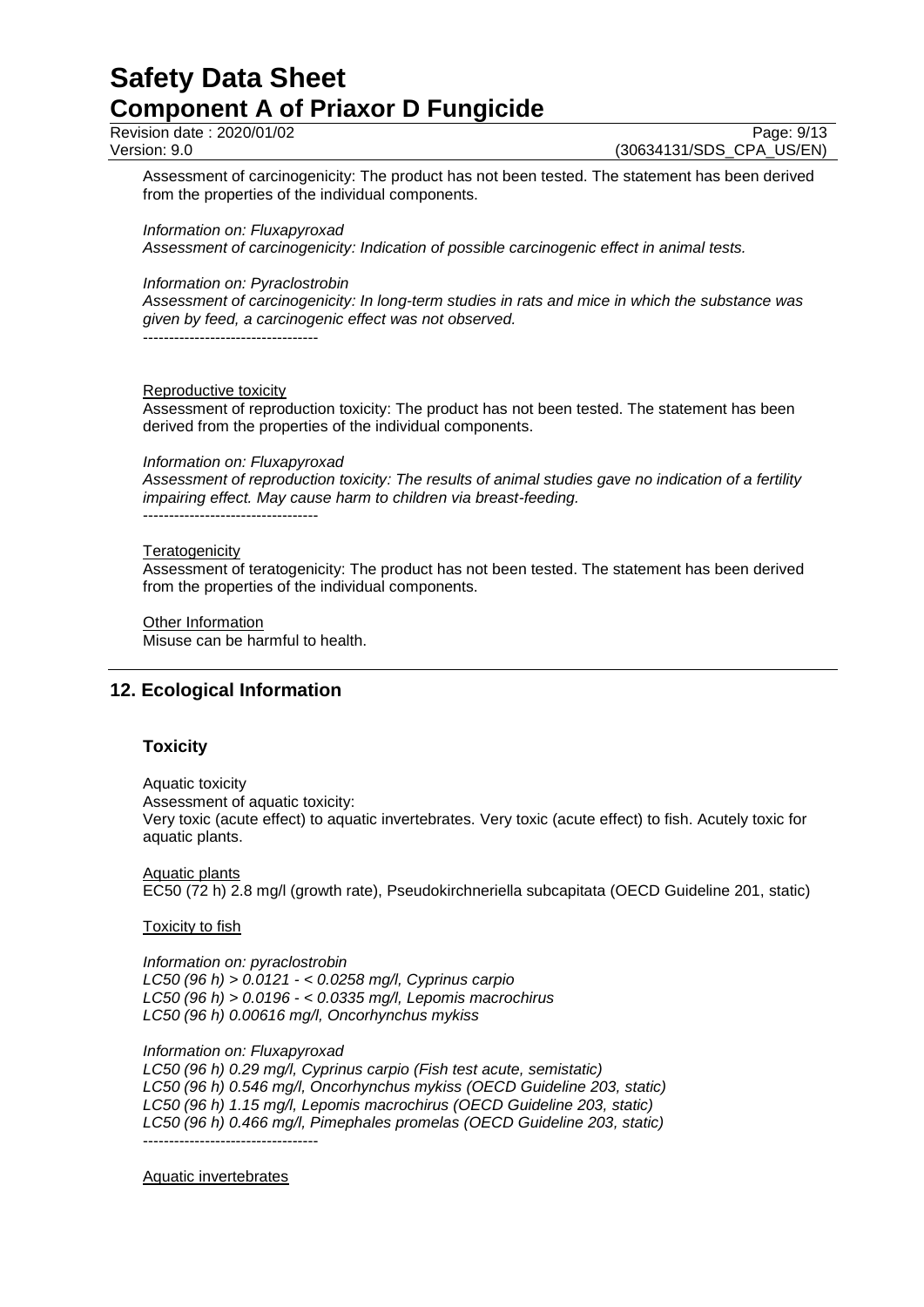Revision date : 2020/01/02 Page: 9/13<br>Version: 9.0 Page: 9/13

(30634131/SDS CPA US/EN)

Assessment of carcinogenicity: The product has not been tested. The statement has been derived from the properties of the individual components.

*Information on: Fluxapyroxad*

*Assessment of carcinogenicity: Indication of possible carcinogenic effect in animal tests.*

*Information on: Pyraclostrobin*

*Assessment of carcinogenicity: In long-term studies in rats and mice in which the substance was given by feed, a carcinogenic effect was not observed.* ----------------------------------

Reproductive toxicity

Assessment of reproduction toxicity: The product has not been tested. The statement has been derived from the properties of the individual components.

*Information on: Fluxapyroxad*

*Assessment of reproduction toxicity: The results of animal studies gave no indication of a fertility impairing effect. May cause harm to children via breast-feeding.* ----------------------------------

#### **Teratogenicity**

Assessment of teratogenicity: The product has not been tested. The statement has been derived from the properties of the individual components.

Other Information Misuse can be harmful to health.

## **12. Ecological Information**

#### **Toxicity**

Aquatic toxicity Assessment of aquatic toxicity: Very toxic (acute effect) to aquatic invertebrates. Very toxic (acute effect) to fish. Acutely toxic for aquatic plants.

Aquatic plants EC50 (72 h) 2.8 mg/l (growth rate), Pseudokirchneriella subcapitata (OECD Guideline 201, static)

Toxicity to fish

*Information on: pyraclostrobin LC50 (96 h) > 0.0121 - < 0.0258 mg/l, Cyprinus carpio LC50 (96 h) > 0.0196 - < 0.0335 mg/l, Lepomis macrochirus LC50 (96 h) 0.00616 mg/l, Oncorhynchus mykiss*

*Information on: Fluxapyroxad*

*LC50 (96 h) 0.29 mg/l, Cyprinus carpio (Fish test acute, semistatic) LC50 (96 h) 0.546 mg/l, Oncorhynchus mykiss (OECD Guideline 203, static) LC50 (96 h) 1.15 mg/l, Lepomis macrochirus (OECD Guideline 203, static) LC50 (96 h) 0.466 mg/l, Pimephales promelas (OECD Guideline 203, static)* ----------------------------------

Aquatic invertebrates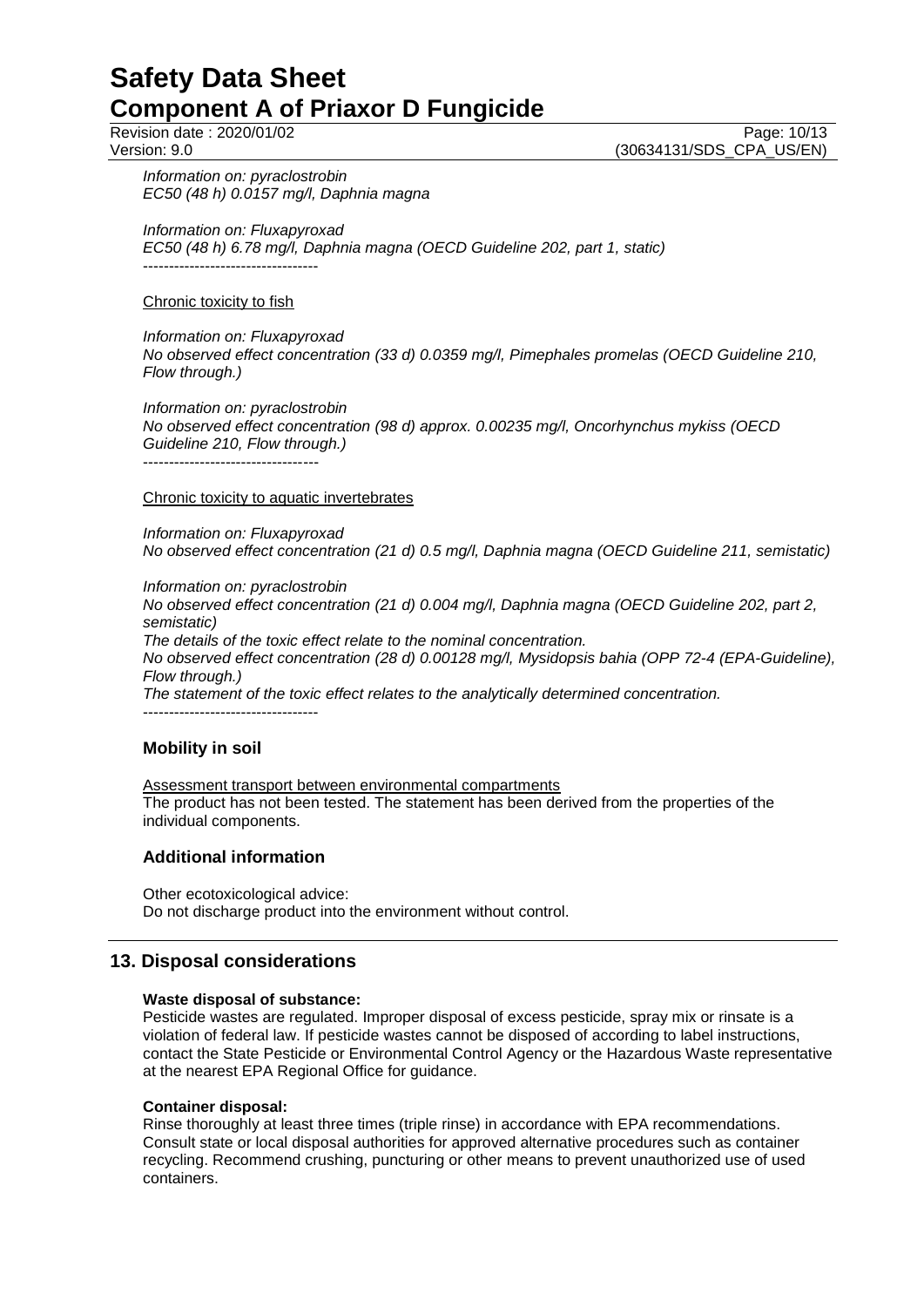Revision date : 2020/01/02 Page: 10/13<br>Version: 9.0 Page: 10/13 (30634131/SDS\_CPA\_US/EN)

*Information on: pyraclostrobin EC50 (48 h) 0.0157 mg/l, Daphnia magna*

*Information on: Fluxapyroxad*

*EC50 (48 h) 6.78 mg/l, Daphnia magna (OECD Guideline 202, part 1, static)* ----------------------------------

#### Chronic toxicity to fish

#### *Information on: Fluxapyroxad*

*No observed effect concentration (33 d) 0.0359 mg/l, Pimephales promelas (OECD Guideline 210, Flow through.)*

*Information on: pyraclostrobin No observed effect concentration (98 d) approx. 0.00235 mg/l, Oncorhynchus mykiss (OECD Guideline 210, Flow through.)* ----------------------------------

### Chronic toxicity to aquatic invertebrates

*Information on: Fluxapyroxad No observed effect concentration (21 d) 0.5 mg/l, Daphnia magna (OECD Guideline 211, semistatic)*

*Information on: pyraclostrobin*

*No observed effect concentration (21 d) 0.004 mg/l, Daphnia magna (OECD Guideline 202, part 2, semistatic)*

*The details of the toxic effect relate to the nominal concentration.*

*No observed effect concentration (28 d) 0.00128 mg/l, Mysidopsis bahia (OPP 72-4 (EPA-Guideline), Flow through.)*

*The statement of the toxic effect relates to the analytically determined concentration.* ----------------------------------

## **Mobility in soil**

Assessment transport between environmental compartments The product has not been tested. The statement has been derived from the properties of the individual components.

## **Additional information**

Other ecotoxicological advice: Do not discharge product into the environment without control.

## **13. Disposal considerations**

## **Waste disposal of substance:**

Pesticide wastes are regulated. Improper disposal of excess pesticide, spray mix or rinsate is a violation of federal law. If pesticide wastes cannot be disposed of according to label instructions, contact the State Pesticide or Environmental Control Agency or the Hazardous Waste representative at the nearest EPA Regional Office for guidance.

## **Container disposal:**

Rinse thoroughly at least three times (triple rinse) in accordance with EPA recommendations. Consult state or local disposal authorities for approved alternative procedures such as container recycling. Recommend crushing, puncturing or other means to prevent unauthorized use of used containers.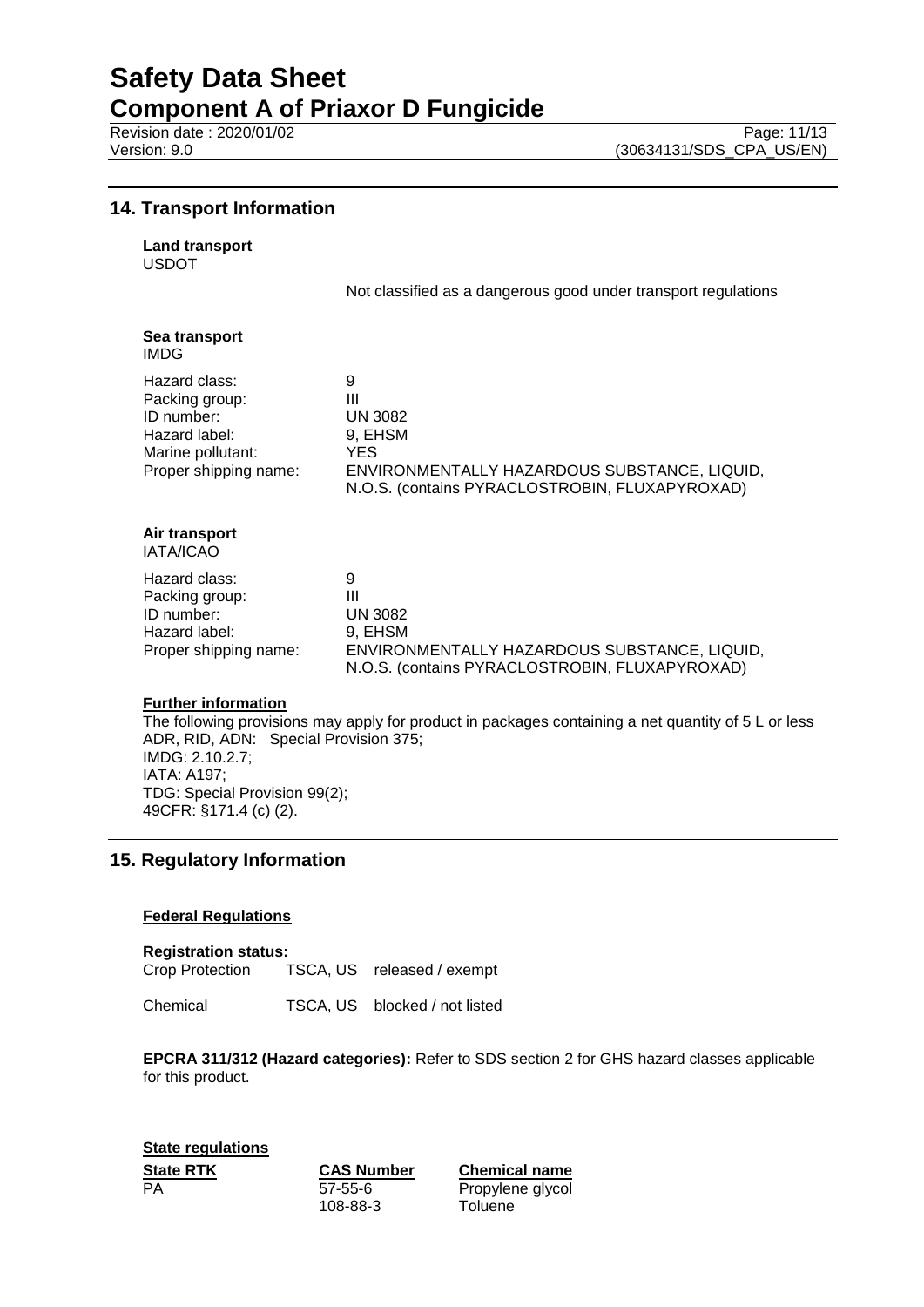# **Safety Data Sheet**

**Component A of Priaxor D Fungicide**

## **14. Transport Information**

**Land transport**

USDOT

Not classified as a dangerous good under transport regulations

| Sea transport<br>IMDG.                                                                                       |                                                                                                                                               |
|--------------------------------------------------------------------------------------------------------------|-----------------------------------------------------------------------------------------------------------------------------------------------|
| Hazard class:<br>Packing group:<br>ID number:<br>Hazard label:<br>Marine pollutant:<br>Proper shipping name: | 9<br>Ш<br><b>UN 3082</b><br>9, EHSM<br>YES.<br>ENVIRONMENTALLY HAZARDOUS SUBSTANCE, LIQUID,<br>N.O.S. (contains PYRACLOSTROBIN, FLUXAPYROXAD) |
| Air transport<br><b>IATA/ICAO</b>                                                                            |                                                                                                                                               |
| Hazard class:<br>Packing group:<br>ID number:<br>Hazard label:<br>Proper shipping name:                      | 9<br>Ш<br><b>UN 3082</b><br>9, EHSM<br>ENVIRONMENTALLY HAZARDOUS SUBSTANCE, LIQUID,<br>N.O.S. (contains PYRACLOSTROBIN, FLUXAPYROXAD)         |

#### **Further information**

The following provisions may apply for product in packages containing a net quantity of 5 L or less ADR, RID, ADN: Special Provision 375; IMDG: 2.10.2.7; IATA: A197; TDG: Special Provision 99(2); 49CFR: §171.4 (c) (2).

## **15. Regulatory Information**

## **Federal Regulations**

**Registration status:** Crop Protection TSCA, US released / exempt

Chemical TSCA, US blocked / not listed

**EPCRA 311/312 (Hazard categories):** Refer to SDS section 2 for GHS hazard classes applicable for this product.

**State regulations State RTK CAS Number Chemical name** PA 57-55-6

108-88-3

Propylene glycol **Toluene**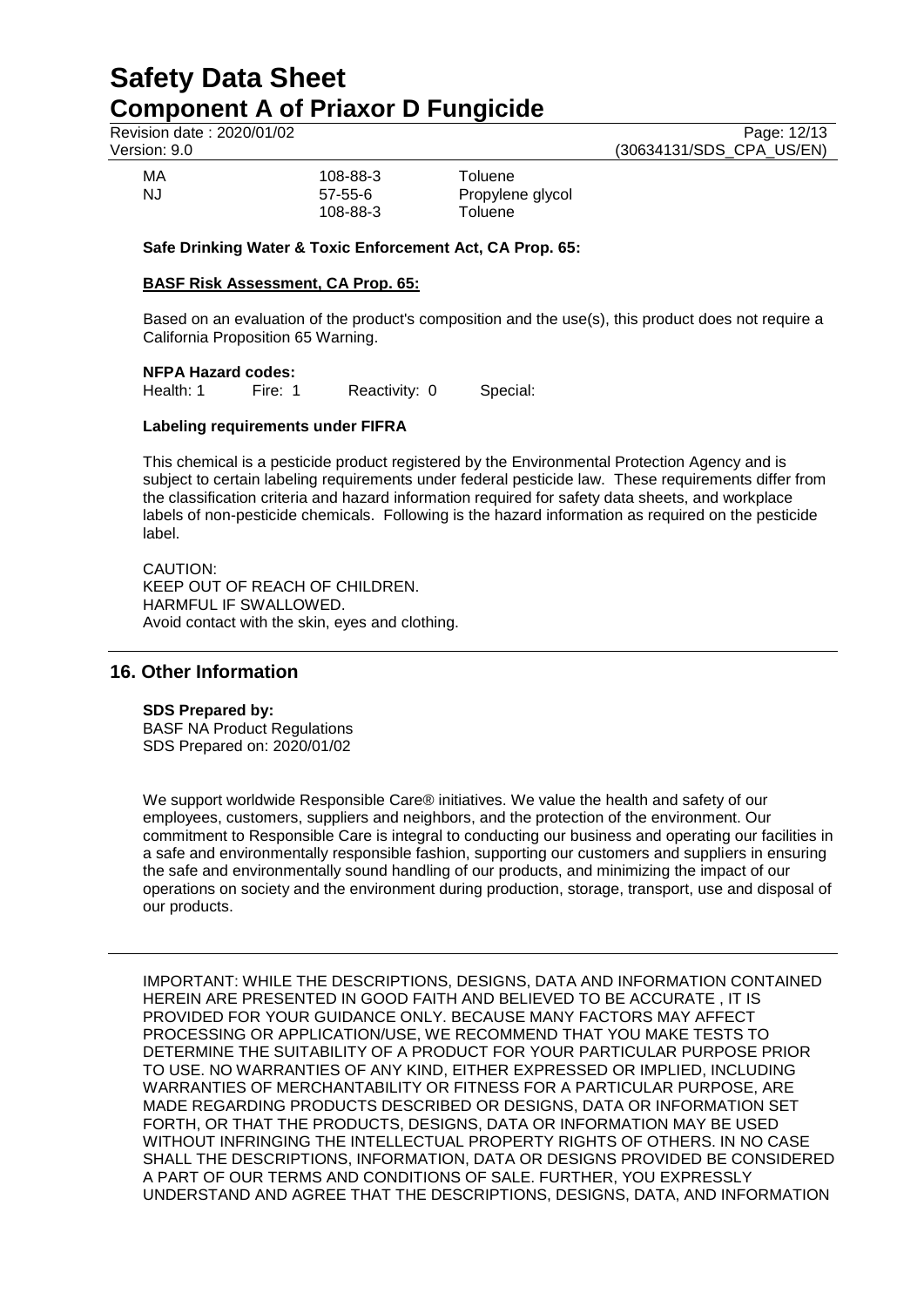Revision date : 2020/01/02 Page: 12/13<br>Version: 9.0 (30634131/SDS CPA US/EN) (30634131/SDS\_CPA\_US/EN)

| МA  | 108-88-3                  | Toluene                     |
|-----|---------------------------|-----------------------------|
| N.J | $57 - 55 - 6$<br>108-88-3 | Propylene glycol<br>Toluene |
|     |                           |                             |
|     |                           |                             |

**Safe Drinking Water & Toxic Enforcement Act, CA Prop. 65:**

## **BASF Risk Assessment, CA Prop. 65:**

Based on an evaluation of the product's composition and the use(s), this product does not require a California Proposition 65 Warning.

# **NFPA Hazard codes:**<br>Health: 1 Fire: 1

Reactivity: 0 Special:

## **Labeling requirements under FIFRA**

This chemical is a pesticide product registered by the Environmental Protection Agency and is subject to certain labeling requirements under federal pesticide law. These requirements differ from the classification criteria and hazard information required for safety data sheets, and workplace labels of non-pesticide chemicals. Following is the hazard information as required on the pesticide label.

CAUTION: KEEP OUT OF REACH OF CHILDREN. HARMFUL IF SWALLOWED. Avoid contact with the skin, eyes and clothing.

## **16. Other Information**

## **SDS Prepared by:**

BASF NA Product Regulations SDS Prepared on: 2020/01/02

We support worldwide Responsible Care® initiatives. We value the health and safety of our employees, customers, suppliers and neighbors, and the protection of the environment. Our commitment to Responsible Care is integral to conducting our business and operating our facilities in a safe and environmentally responsible fashion, supporting our customers and suppliers in ensuring the safe and environmentally sound handling of our products, and minimizing the impact of our operations on society and the environment during production, storage, transport, use and disposal of our products.

IMPORTANT: WHILE THE DESCRIPTIONS, DESIGNS, DATA AND INFORMATION CONTAINED HEREIN ARE PRESENTED IN GOOD FAITH AND BELIEVED TO BE ACCURATE , IT IS PROVIDED FOR YOUR GUIDANCE ONLY. BECAUSE MANY FACTORS MAY AFFECT PROCESSING OR APPLICATION/USE, WE RECOMMEND THAT YOU MAKE TESTS TO DETERMINE THE SUITABILITY OF A PRODUCT FOR YOUR PARTICULAR PURPOSE PRIOR TO USE. NO WARRANTIES OF ANY KIND, EITHER EXPRESSED OR IMPLIED, INCLUDING WARRANTIES OF MERCHANTABILITY OR FITNESS FOR A PARTICULAR PURPOSE, ARE MADE REGARDING PRODUCTS DESCRIBED OR DESIGNS, DATA OR INFORMATION SET FORTH, OR THAT THE PRODUCTS, DESIGNS, DATA OR INFORMATION MAY BE USED WITHOUT INFRINGING THE INTELLECTUAL PROPERTY RIGHTS OF OTHERS. IN NO CASE SHALL THE DESCRIPTIONS, INFORMATION, DATA OR DESIGNS PROVIDED BE CONSIDERED A PART OF OUR TERMS AND CONDITIONS OF SALE. FURTHER, YOU EXPRESSLY UNDERSTAND AND AGREE THAT THE DESCRIPTIONS, DESIGNS, DATA, AND INFORMATION